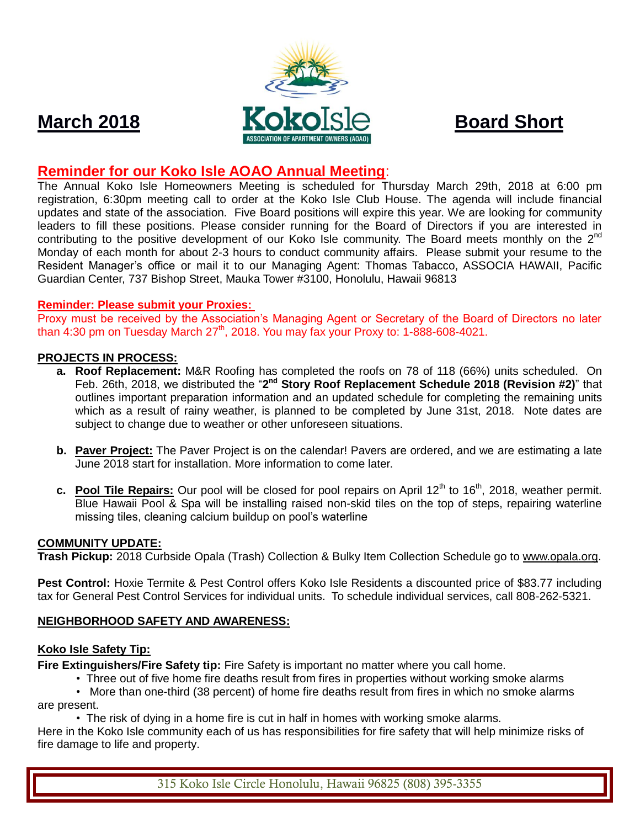





# **Reminder for our Koko Isle AOAO Annual Meeting**:

The Annual Koko Isle Homeowners Meeting is scheduled for Thursday March 29th, 2018 at 6:00 pm registration, 6:30pm meeting call to order at the Koko Isle Club House. The agenda will include financial updates and state of the association. Five Board positions will expire this year. We are looking for community leaders to fill these positions. Please consider running for the Board of Directors if you are interested in contributing to the positive development of our Koko Isle community. The Board meets monthly on the  $2^{nd}$ Monday of each month for about 2-3 hours to conduct community affairs. Please submit your resume to the Resident Manager's office or mail it to our Managing Agent: Thomas Tabacco, ASSOCIA HAWAII, Pacific Guardian Center, 737 Bishop Street, Mauka Tower #3100, Honolulu, Hawaii 96813

## **Reminder: Please submit your Proxies:**

Proxy must be received by the Association's Managing Agent or Secretary of the Board of Directors no later than  $4:30$  pm on Tuesday March  $27<sup>th</sup>$ , 2018. You may fax your Proxy to: 1-888-608-4021.

#### **PROJECTS IN PROCESS:**

- **a. Roof Replacement:** M&R Roofing has completed the roofs on 78 of 118 (66%) units scheduled. On Feb. 26th, 2018, we distributed the "2<sup>nd</sup> Story Roof Replacement Schedule 2018 (Revision #2)" that outlines important preparation information and an updated schedule for completing the remaining units which as a result of rainy weather, is planned to be completed by June 31st, 2018. Note dates are subject to change due to weather or other unforeseen situations.
- **b. Paver Project:** The Paver Project is on the calendar! Pavers are ordered, and we are estimating a late June 2018 start for installation. More information to come later.
- **c. Pool Tile Repairs:** Our pool will be closed for pool repairs on April 12<sup>th</sup> to 16<sup>th</sup>, 2018, weather permit. Blue Hawaii Pool & Spa will be installing raised non-skid tiles on the top of steps, repairing waterline missing tiles, cleaning calcium buildup on pool's waterline

#### **COMMUNITY UPDATE:**

**Trash Pickup:** 2018 Curbside Opala (Trash) Collection & Bulky Item Collection Schedule go to [www.opala.org.](http://www.opala.org/)

**Pest Control:** Hoxie Termite & Pest Control offers Koko Isle Residents a discounted price of \$83.77 including tax for General Pest Control Services for individual units. To schedule individual services, call 808-262-5321.

#### **NEIGHBORHOOD SAFETY AND AWARENESS:**

#### **Koko Isle Safety Tip:**

**Fire Extinguishers/Fire Safety tip:** Fire Safety is important no matter where you call home.

• Three out of five home fire deaths result from fires in properties without working smoke alarms

 • More than one-third (38 percent) of home fire deaths result from fires in which no smoke alarms are present.

• The risk of dying in a home fire is cut in half in homes with working smoke alarms.

Here in the Koko Isle community each of us has responsibilities for fire safety that will help minimize risks of fire damage to life and property.

315 Koko Isle Circle Honolulu, Hawaii 96825 (808) 395-3355